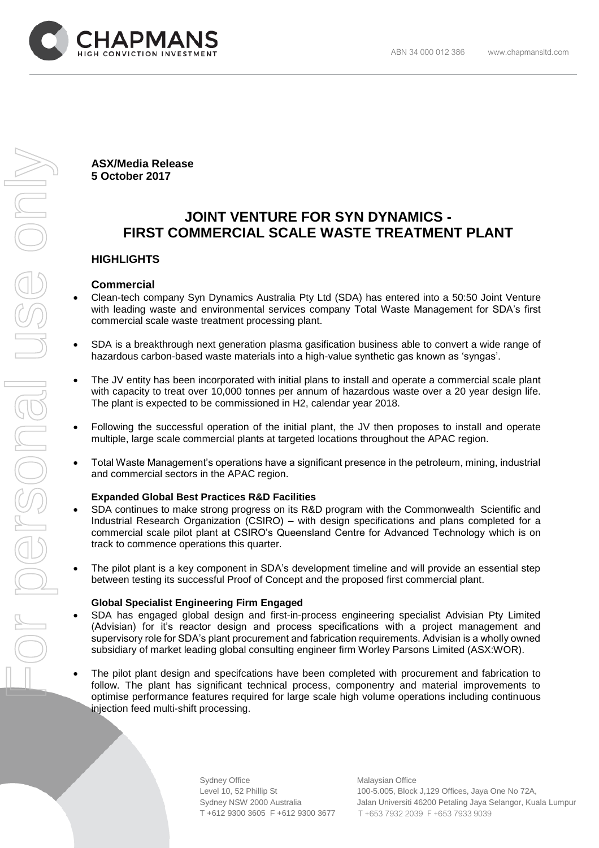

**ASX/Media Release 5 October 2017**

# **JOINT VENTURE FOR SYN DYNAMICS - FIRST COMMERCIAL SCALE WASTE TREATMENT PLANT**

# **HIGHLIGHTS**

# **Commercial**

- Clean-tech company Syn Dynamics Australia Pty Ltd (SDA) has entered into a 50:50 Joint Venture with leading waste and environmental services company Total Waste Management for SDA's first commercial scale waste treatment processing plant.
- SDA is a breakthrough next generation plasma gasification business able to convert a wide range of hazardous carbon-based waste materials into a high-value synthetic gas known as 'syngas'.
- The JV entity has been incorporated with initial plans to install and operate a commercial scale plant with capacity to treat over 10,000 tonnes per annum of hazardous waste over a 20 year design life. The plant is expected to be commissioned in H2, calendar year 2018.
- Following the successful operation of the initial plant, the JV then proposes to install and operate multiple, large scale commercial plants at targeted locations throughout the APAC region.
- Total Waste Management's operations have a significant presence in the petroleum, mining, industrial and commercial sectors in the APAC region.

# **Expanded Global Best Practices R&D Facilities**

- SDA continues to make strong progress on its R&D program with the Commonwealth Scientific and Industrial Research Organization (CSIRO) – with design specifications and plans completed for a commercial scale pilot plant at CSIRO's Queensland Centre for Advanced Technology which is on track to commence operations this quarter.
- The pilot plant is a key component in SDA's development timeline and will provide an essential step between testing its successful Proof of Concept and the proposed first commercial plant.

# **Global Specialist Engineering Firm Engaged**

- SDA has engaged global design and first-in-process engineering specialist Advisian Pty Limited (Advisian) for it's reactor design and process specifications with a project management and supervisory role for SDA's plant procurement and fabrication requirements. Advisian is a wholly owned subsidiary of market leading global consulting engineer firm Worley Parsons Limited (ASX:WOR).
- The pilot plant design and specifcations have been completed with procurement and fabrication to follow. The plant has significant technical process, componentry and material improvements to optimise performance features required for large scale high volume operations including continuous injection feed multi-shift processing.

Sydney Office Malaysian Office T +612 9300 3605 F +612 9300 3677 T +653 7932 2039 F +653 7933 9039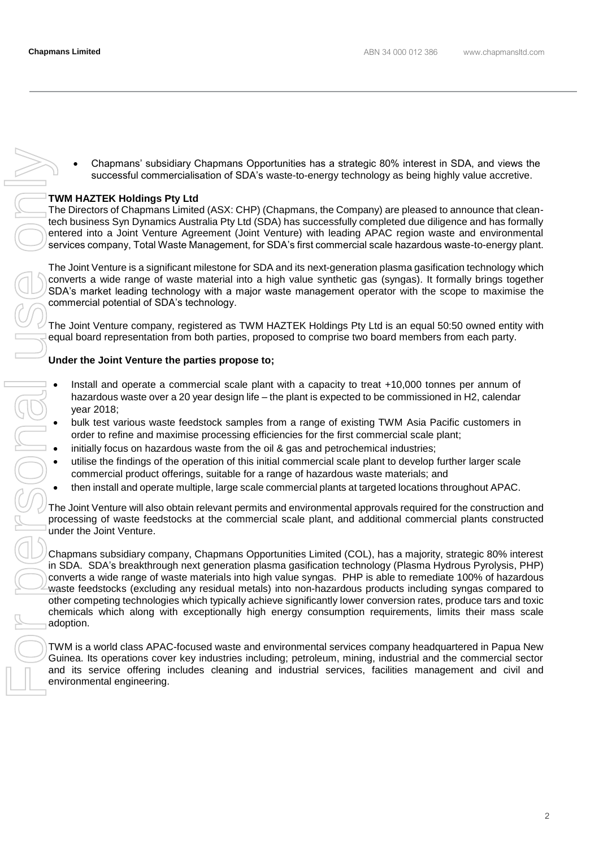• Chapmans' subsidiary Chapmans Opportunities has a strategic 80% interest in SDA, and views the successful commercialisation of SDA's waste-to-energy technology as being highly value accretive.

#### **TWM HAZTEK Holdings Pty Ltd**

The Directors of Chapmans Limited (ASX: CHP) (Chapmans, the Company) are pleased to announce that cleantech business Syn Dynamics Australia Pty Ltd (SDA) has successfully completed due diligence and has formally entered into a Joint Venture Agreement (Joint Venture) with leading APAC region waste and environmental services company, Total Waste Management, for SDA's first commercial scale hazardous waste-to-energy plant.

The Joint Venture is a significant milestone for SDA and its next-generation plasma gasification technology which converts a wide range of waste material into a high value synthetic gas (syngas). It formally brings together SDA's market leading technology with a major waste management operator with the scope to maximise the commercial potential of SDA's technology.

The Joint Venture company, registered as TWM HAZTEK Holdings Pty Ltd is an equal 50:50 owned entity with equal board representation from both parties, proposed to comprise two board members from each party.

# **Under the Joint Venture the parties propose to;**

- Install and operate a commercial scale plant with a capacity to treat +10,000 tonnes per annum of hazardous waste over a 20 year design life – the plant is expected to be commissioned in H2, calendar year 2018;
- bulk test various waste feedstock samples from a range of existing TWM Asia Pacific customers in order to refine and maximise processing efficiencies for the first commercial scale plant;
- initially focus on hazardous waste from the oil & gas and petrochemical industries;
- utilise the findings of the operation of this initial commercial scale plant to develop further larger scale commercial product offerings, suitable for a range of hazardous waste materials; and
- then install and operate multiple, large scale commercial plants at targeted locations throughout APAC.

The Joint Venture will also obtain relevant permits and environmental approvals required for the construction and processing of waste feedstocks at the commercial scale plant, and additional commercial plants constructed under the Joint Venture.

Chapmans subsidiary company, Chapmans Opportunities Limited (COL), has a majority, strategic 80% interest in SDA. SDA's breakthrough next generation plasma gasification technology (Plasma Hydrous Pyrolysis, PHP) converts a wide range of waste materials into high value syngas. PHP is able to remediate 100% of hazardous waste feedstocks (excluding any residual metals) into non-hazardous products including syngas compared to other competing technologies which typically achieve significantly lower conversion rates, produce tars and toxic chemicals which along with exceptionally high energy consumption requirements, limits their mass scale adoption. • Chapmana' subsidiary Chapmana Opportunites has a strategic 80% interest in SDA, and views the Direction of Chapmana (HCC) (Chapmana, the Company) are leased to announce that detection in the buenon of Distribution of the

TWM is a world class APAC-focused waste and environmental services company headquartered in Papua New Guinea. Its operations cover key industries including; petroleum, mining, industrial and the commercial sector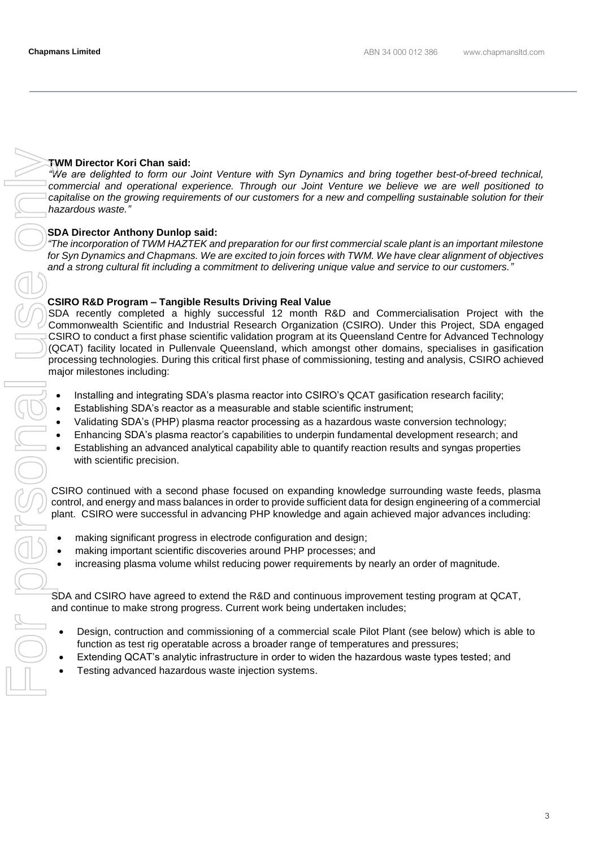# **TWM Director Kori Chan said:**

*"We are delighted to form our Joint Venture with Syn Dynamics and bring together best-of-breed technical, commercial and operational experience. Through our Joint Venture we believe we are well positioned to capitalise on the growing requirements of our customers for a new and compelling sustainable solution for their hazardous waste."*

# **SDA Director Anthony Dunlop said:**

*"The incorporation of TWM HAZTEK and preparation for our first commercial scale plant is an important milestone for Syn Dynamics and Chapmans. We are excited to join forces with TWM. We have clear alignment of objectives and a strong cultural fit including a commitment to delivering unique value and service to our customers."*

# **CSIRO R&D Program – Tangible Results Driving Real Value**

SDA recently completed a highly successful 12 month R&D and Commercialisation Project with the Commonwealth Scientific and Industrial Research Organization (CSIRO). Under this Project, SDA engaged CSIRO to conduct a first phase scientific validation program at its Queensland Centre for Advanced Technology (QCAT) facility located in Pullenvale Queensland, which amongst other domains, specialises in gasification processing technologies. During this critical first phase of commissioning, testing and analysis, CSIRO achieved major milestones including:

- Installing and integrating SDA's plasma reactor into CSIRO's QCAT gasification research facility;
- Establishing SDA's reactor as a measurable and stable scientific instrument;
- Validating SDA's (PHP) plasma reactor processing as a hazardous waste conversion technology;
- Enhancing SDA's plasma reactor's capabilities to underpin fundamental development research; and
- Establishing an advanced analytical capability able to quantify reaction results and syngas properties with scientific precision.

CSIRO continued with a second phase focused on expanding knowledge surrounding waste feeds, plasma control, and energy and mass balances in order to provide sufficient data for design engineering of a commercial plant. CSIRO were successful in advancing PHP knowledge and again achieved major advances including:

- making significant progress in electrode configuration and design;
- making important scientific discoveries around PHP processes; and
- increasing plasma volume whilst reducing power requirements by nearly an order of magnitude.

SDA and CSIRO have agreed to extend the R&D and continuous improvement testing program at QCAT, and continue to make strong progress. Current work being undertaken includes;

- Design, contruction and commissioning of a commercial scale Pilot Plant (see below) which is able to function as test rig operatable across a broader range of temperatures and pressures;
- Extending QCAT's analytic infrastructure in order to widen the hazardous waste types tested; and
- Testing advanced hazardous waste injection systems.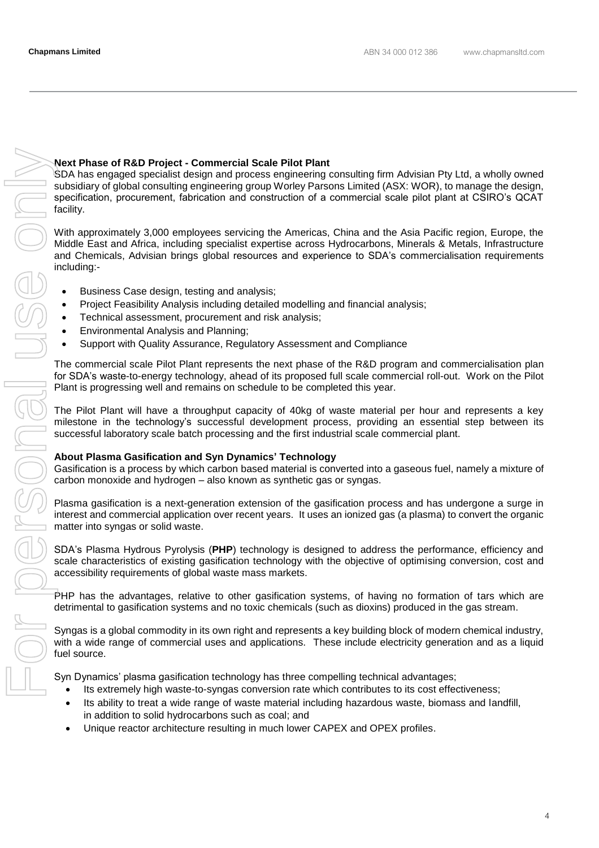# **Next Phase of R&D Project - Commercial Scale Pilot Plant**

SDA has engaged specialist design and process engineering consulting firm Advisian Pty Ltd, a wholly owned subsidiary of global consulting engineering group Worley Parsons Limited (ASX: WOR), to manage the design, specification, procurement, fabrication and construction of a commercial scale pilot plant at CSIRO's QCAT facility.

With approximately 3,000 employees servicing the Americas, China and the Asia Pacific region, Europe, the Middle East and Africa, including specialist expertise across Hydrocarbons, Minerals & Metals, Infrastructure and Chemicals, Advisian brings global resources and experience to SDA's commercialisation requirements including:-

- Business Case design, testing and analysis;
- Project Feasibility Analysis including detailed modelling and financial analysis;
- Technical assessment, procurement and risk analysis;
- Environmental Analysis and Planning;
- Support with Quality Assurance, Regulatory Assessment and Compliance

The commercial scale Pilot Plant represents the next phase of the R&D program and commercialisation plan for SDA's waste-to-energy technology, ahead of its proposed full scale commercial roll-out. Work on the Pilot Plant is progressing well and remains on schedule to be completed this year.

The Pilot Plant will have a throughput capacity of 40kg of waste material per hour and represents a key milestone in the technology's successful development process, providing an essential step between its successful laboratory scale batch processing and the first industrial scale commercial plant.

# **About Plasma Gasification and Syn Dynamics' Technology**

Gasification is a process by which carbon based material is converted into a gaseous fuel, namely a mixture of carbon monoxide and hydrogen – also known as synthetic gas or syngas.

Plasma gasification is a next-generation extension of the gasification process and has undergone a surge in interest and commercial application over recent years. It uses an ionized gas (a plasma) to convert the organic matter into syngas or solid waste.

SDA's Plasma Hydrous Pyrolysis (**PHP**) technology is designed to address the performance, efficiency and scale characteristics of existing gasification technology with the objective of optimising conversion, cost and accessibility requirements of global waste mass markets.

PHP has the advantages, relative to other gasification systems, of having no formation of tars which are detrimental to gasification systems and no toxic chemicals (such as dioxins) produced in the gas stream.

Syngas is a global commodity in its own right and represents a key building block of modern chemical industry, with a wide range of commercial uses and applications. These include electricity generation and as a liquid fuel source.

Syn Dynamics' plasma gasification technology has three compelling technical advantages;

- Its extremely high waste-to-syngas conversion rate which contributes to its cost effectiveness;
- Its ability to treat a wide range of waste material including hazardous waste, biomass and landfill, in addition to solid hydrocarbons such as coal; and
- Unique reactor architecture resulting in much lower CAPEX and OPEX profiles.